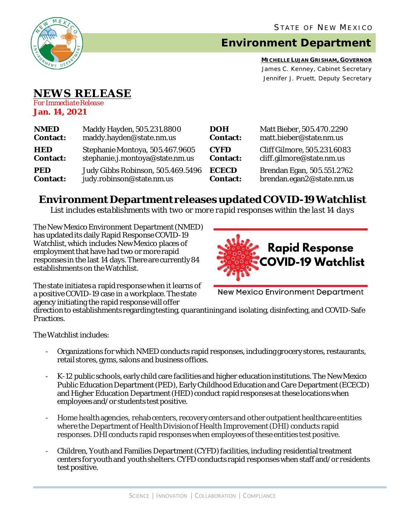

# **Environment Department**

**MICHELLE LUJAN GRISHAM, GOVERNOR** James C. Kenney, Cabinet Secretary Jennifer J. Pruett, Deputy Secretary

## **NEWS RELEASE**

*For Immediate Release* **Jan. 14, 2021**

| <b>NMED</b>     | Maddy Hayden, 505.231.8800        | <b>DOH</b>      | Matt Bieber, 505.470.2290   |
|-----------------|-----------------------------------|-----------------|-----------------------------|
| <b>Contact:</b> | maddy.hayden@state.nm.us          | <b>Contact:</b> | matt.bieber@state.nm.us     |
| <b>HED</b>      | Stephanie Montoya, 505.467.9605   | <b>CYFD</b>     | Cliff Gilmore, 505.231.6083 |
| <b>Contact:</b> | stephanie.j.montoya@state.nm.us   | <b>Contact:</b> | cliff.gilmore@state.nm.us   |
| <b>PED</b>      | Judy Gibbs Robinson, 505.469.5496 | <b>ECECD</b>    | Brendan Egan, 505.551.2762  |
| <b>Contact:</b> | judy.robinson@state.nm.us         | <b>Contact:</b> | brendan.egan2@state.nm.us   |

## **Environment Department releases updated COVID-19 Watchlist**

*List includes establishments with two or more rapid responses within the last 14 days*

The New Mexico Environment Department(NMED) has updated its daily Rapid Response COVID-19 Watchlist, which includes New Mexico places of employment that have had two or more rapid responses in the last 14 days. There are currently 84 establishments on the Watchlist.



The state initiates a rapid response when it learns of a positive COVID-19 case in a workplace. The state agency initiating the rapid response will offer

New Mexico Environment Department

direction to establishments regarding testing, quarantining and isolating, disinfecting, and COVID-Safe Practices.

The Watchlist includes:

- Organizations for which NMED conducts rapid responses, including grocery stores, restaurants, retail stores, gyms, salons and business offices.
- K-12 public schools, early child care facilities and higher education institutions. The New Mexico Public Education Department (PED), Early Childhood Education and Care Department (ECECD) and Higher Education Department (HED) conduct rapid responses at these locations when employees and/or students test positive.
- Home health agencies, rehab centers, recovery centers and other outpatient healthcare entities where the Department of Health Division of Health Improvement (DHI) conducts rapid responses. DHIconducts rapid responses when employees of these entities test positive.
- Children, Youth and Families Department (CYFD) facilities, including residential treatment centers for youth and youth shelters.CYFD conducts rapid responses when staff and/or residents test positive.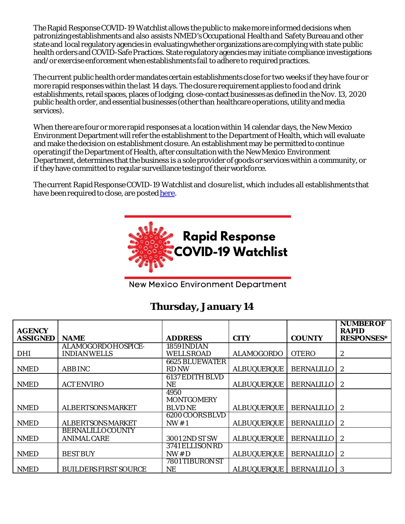The Rapid Response COVID-19 Watchlist allows the public to make more informed decisions when patronizing establishments and also assists NMED's Occupational Health and Safety Bureauand other state and local regulatory agencies in evaluating whether organizations are complying with state public health orders and COVID-Safe Practices. State regulatory agencies may initiate compliance investigations and/or exercise enforcement when establishments fail to adhere to required practices.

The current public health order mandates certain establishments close for two weeks if they have four or more rapid responses within the last 14 days. The closure requirement applies to food and drink establishments, retail spaces, places of lodging, close-contact businesses as defined in the Nov. 13, 2020 public health order, and essential businesses (other than healthcare operations, utility and media services).

When there are four or more rapid responses at a location within 14 calendar days, the New Mexico Environment Department will refer the establishment to the Department of Health, which will evaluate and make the decision on establishment closure. An establishment may be permitted to continue operating if the Department of Health, after consultation with the New Mexico Environment Department, determines that the business is a sole provider of goods or services within a community, or if they have committed to regular surveillance testing of their workforce.

The current Rapid Response COVID-19 Watchlist and closure list, which includes all establishments that have been required to close, are poste[d here.](https://www.env.nm.gov/rapid-response-data/)



**New Mexico Environment Department** 

### **Thursday, January 14**

| <b>AGENCY</b>   |                              | <b>ADDRESS</b>        | <b>CITY</b>        | <b>COUNTY</b>     | <b>NUMBER OF</b><br><b>RAPID</b> |
|-----------------|------------------------------|-----------------------|--------------------|-------------------|----------------------------------|
| <b>ASSIGNED</b> | <b>NAME</b>                  |                       |                    |                   | <b>RESPONSES*</b>                |
|                 | ALAMOGORDOHOSPICE-           | 1859 INDIAN           |                    |                   |                                  |
| <b>DHI</b>      | <b>INDIAN WELLS</b>          | <b>WELLS ROAD</b>     | <b>ALAMOGORDO</b>  | <b>OTERO</b>      | 2                                |
|                 |                              | <b>6625 BLUEWATER</b> |                    |                   |                                  |
| <b>NMED</b>     | <b>ABB INC</b>               | <b>RD NW</b>          | <b>ALBUQUERQUE</b> | <b>BERNALILLO</b> | $\boldsymbol{2}$                 |
|                 |                              | 6137 EDITH BLVD       |                    |                   |                                  |
| <b>NMED</b>     | <b>ACT ENVIRO</b>            | NE                    | <b>ALBUQUERQUE</b> | <b>BERNALILLO</b> | $\mathbf{2}$                     |
|                 |                              | 4950                  |                    |                   |                                  |
|                 |                              | <b>MONTGOMERY</b>     |                    |                   |                                  |
| <b>NMED</b>     | <b>ALBERTSONS MARKET</b>     | <b>BLVD NE</b>        | <b>ALBUQUERQUE</b> | <b>BERNALILLO</b> | $\boldsymbol{2}$                 |
|                 |                              | 6200 COORS BLVD       |                    |                   |                                  |
| <b>NMED</b>     | <b>ALBERTSONS MARKET</b>     | NW#1                  | <b>ALBUQUERQUE</b> | <b>BERNALILLO</b> | $\mathbf{2}$                     |
|                 | <b>BERNALILLOCOUNTY</b>      |                       |                    |                   |                                  |
| <b>NMED</b>     | <b>ANIMAL CARE</b>           | 3001 2ND ST SW        | <b>ALBUQUERQUE</b> | <b>BERNALILLO</b> | 2                                |
|                 |                              | 3741 ELLISON RD       |                    |                   |                                  |
| <b>NMED</b>     | <b>BEST BUY</b>              | NW#D                  | <b>ALBUQUERQUE</b> | <b>BERNALILLO</b> | 2                                |
|                 |                              | 7801 TIBURON ST       |                    |                   |                                  |
| <b>NMED</b>     | <b>BUILDERS FIRST SOURCE</b> | NE                    | <b>ALBUQUERQUE</b> | <b>BERNALILLO</b> | 3                                |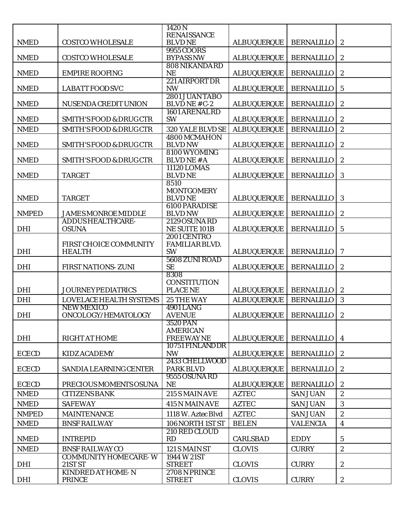|                             |                                           | 1420N                               |                    |                                    |                         |
|-----------------------------|-------------------------------------------|-------------------------------------|--------------------|------------------------------------|-------------------------|
|                             |                                           | <b>RENAISSANCE</b>                  |                    |                                    |                         |
| <b>NMED</b>                 | <b>COSTCO WHOLESALE</b>                   | <b>BLVDNE</b><br>9955 COORS         | <b>ALBUQUERQUE</b> | <b>BERNALILLO</b>                  | $\boldsymbol{2}$        |
| <b>NMED</b>                 | <b>COSTCO WHOLESALE</b>                   | <b>BYPASS NW</b>                    | <b>ALBUQUERQUE</b> | <b>BERNALILLO</b>                  | $\boldsymbol{2}$        |
|                             |                                           | 808 NIKANDARD                       |                    |                                    |                         |
| <b>NMED</b>                 | <b>EMPIRE ROOFING</b>                     | <b>NE</b>                           | <b>ALBUQUERQUE</b> | <b>BERNALILLO</b>                  | $\boldsymbol{2}$        |
|                             |                                           | 221 AIRPORT DR                      |                    |                                    |                         |
| <b>NMED</b>                 | <b>LABATT FOOD SVC</b>                    | <b>NW</b><br>2801 JUAN TABO         | <b>ALBUQUERQUE</b> | <b>BERNALILLO</b>                  | $\sqrt{5}$              |
| <b>NMED</b>                 | NUSENDA CREDIT UNION                      | BLVDNE#C-2                          | <b>ALBUQUERQUE</b> | <b>BERNALILLO</b>                  | $\boldsymbol{2}$        |
|                             |                                           | 1601 ARENALRD                       |                    |                                    |                         |
| <b>NMED</b>                 | <b>SMITH'S FOOD &amp; DRUG CTR</b>        | <b>SW</b>                           | <b>ALBUQUERQUE</b> | <b>BERNALILLO</b>                  | $\boldsymbol{2}$        |
| <b>NMED</b>                 | <b>SMITH'S FOOD &amp; DRUG CTR</b>        | 320 YALE BLVD SE                    | <b>ALBUQUERQUE</b> | <b>BERNALILLO</b>                  | $\boldsymbol{2}$        |
|                             |                                           | 4800 MCMAHON                        |                    |                                    |                         |
| <b>NMED</b>                 | <b>SMITH'S FOOD &amp; DRUG CTR</b>        | <b>BLVD NW</b><br>8100 WYOMING      | <b>ALBUQUERQUE</b> | <b>BERNALILLO</b>                  | $\boldsymbol{2}$        |
| <b>NMED</b>                 | <b>SMITH'S FOOD &amp; DRUG CTR</b>        | <b>BLVDNE#A</b>                     | <b>ALBUQUERQUE</b> | <b>BERNALILLO</b>                  | $\boldsymbol{2}$        |
|                             |                                           | 11120 LOMAS                         |                    |                                    |                         |
| <b>NMED</b>                 | <b>TARGET</b>                             | <b>BLVDNE</b>                       | <b>ALBUQUERQUE</b> | <b>BERNALILLO</b>                  | 3                       |
|                             |                                           | 8510                                |                    |                                    |                         |
| <b>NMED</b>                 | <b>TARGET</b>                             | <b>MONTGOMERY</b><br><b>BLVDNE</b>  | <b>ALBUQUERQUE</b> | <b>BERNALILLO</b>                  | 3                       |
|                             |                                           | <b>6100 PARADISE</b>                |                    |                                    |                         |
| <b>NMPED</b>                | <b>JAMES MONROE MIDDLE</b>                | <b>BLVD NW</b>                      | <b>ALBUQUERQUE</b> | <b>BERNALILLO</b>                  | $\boldsymbol{2}$        |
|                             | <b>ADDUS HEALTHCARE-</b>                  | <b>2129 OSUNA RD</b>                |                    |                                    |                         |
| <b>DHI</b>                  | <b>OSUNA</b>                              | NE SUITE 101B                       | <b>ALBUQUERQUE</b> | <b>BERNALILLO</b>                  | $\mathbf{5}$            |
|                             | FIRST CHOICE COMMUNITY                    | 2001 CENTRO<br>FAMILIAR BLVD.       |                    |                                    |                         |
| <b>DHI</b>                  | <b>HEALTH</b>                             | <b>SW</b>                           | <b>ALBUQUERQUE</b> | <b>BERNALILLO</b>                  | 7                       |
|                             |                                           | 5608 ZUNI ROAD                      |                    |                                    |                         |
| <b>DHI</b>                  | <b>FIRST NATIONS-ZUNI</b>                 | <b>SE</b>                           | <b>ALBUQUERQUE</b> | <b>BERNALILLO</b>                  | $\boldsymbol{2}$        |
|                             |                                           | 8308<br><b>CONSTITUTION</b>         |                    |                                    |                         |
| <b>DHI</b>                  | <b>JOURNEYPEDIATRICS</b>                  | <b>PLACE NE</b>                     | <b>ALBUQUERQUE</b> | <b>BERNALILLO</b>                  | $\boldsymbol{2}$        |
| <b>DHI</b>                  | LOVELACE HEALTH SYSTEMS                   | <b>25 THE WAY</b>                   | <b>ALBUQUERQUE</b> | <b>BERNALILLO</b>                  | 3                       |
|                             | <b>NEW MEXICO</b>                         | <b>4901 LANG</b>                    |                    |                                    |                         |
| <b>DHI</b>                  | ONCOLOGY/HEMATOLOGY                       | <b>AVENUE</b>                       | <b>ALBUQUERQUE</b> | <b>BERNALILLO</b>                  | $\boldsymbol{2}$        |
|                             |                                           | <b>3520 PAN</b>                     |                    |                                    |                         |
| <b>DHI</b>                  | <b>RIGHT AT HOME</b>                      | <b>AMERICAN</b><br><b>FREEWAYNE</b> | <b>ALBUQUERQUE</b> | <b>BERNALILLO</b>                  | 4                       |
|                             |                                           | 10751 FINLAND DR                    |                    |                                    |                         |
| <b>ECECD</b>                | <b>KIDZ ACADEMY</b>                       | <b>NW</b>                           | <b>ALBUQUERQUE</b> | <b>BERNALILLO</b>                  | $\boldsymbol{2}$        |
|                             |                                           | 2433 CHELLWOOD                      |                    |                                    |                         |
| <b>ECECD</b>                | SANDIA LEARNING CENTER                    | <b>PARK BLVD</b><br>9555 OSUNA RD   | <b>ALBUQUERQUE</b> | <b>BERNALILLO</b>                  | $\boldsymbol{2}$        |
| <b>ECECD</b>                | PRECIOUS MOMENTS OSUNA                    | <b>NE</b>                           | <b>ALBUQUERQUE</b> | <b>BERNALILLO</b>                  | $\boldsymbol{2}$        |
| <b>NMED</b>                 | <b>CITIZENS BANK</b>                      | 215 S MAIN AVE                      | <b>AZTEC</b>       | <b>SAN JUAN</b>                    | $\overline{2}$          |
| <b>NMED</b>                 | <b>SAFEWAY</b>                            | 415 N MAIN AVE                      | <b>AZTEC</b>       | <b>SAN JUAN</b>                    | 3                       |
|                             |                                           | 1118 W. Aztec Blvd                  | <b>AZTEC</b>       |                                    | $\boldsymbol{2}$        |
| <b>NMPED</b><br><b>NMED</b> | <b>MAINTENANCE</b><br><b>BNSF RAILWAY</b> | 106 NORTH 1ST ST                    | <b>BELEN</b>       | <b>SAN JUAN</b><br><b>VALENCIA</b> | $\overline{\mathbf{4}}$ |
|                             |                                           | 210 RED CLOUD                       |                    |                                    |                         |
| <b>NMED</b>                 | <b>INTREPID</b>                           | RD                                  | <b>CARLSBAD</b>    | <b>EDDY</b>                        | $\sqrt{5}$              |
| <b>NMED</b>                 | <b>BNSF RAILWAY CO</b>                    | 121 S MAIN ST                       | <b>CLOVIS</b>      | <b>CURRY</b>                       | $\overline{2}$          |
|                             | <b>COMMUNITY HOME CARE-W</b>              | 1944 W 21ST                         |                    |                                    |                         |
| <b>DHI</b>                  | 21ST ST                                   | <b>STREET</b>                       | <b>CLOVIS</b>      | <b>CURRY</b>                       | $\boldsymbol{2}$        |
|                             | <b>KINDRED AT HOME-N</b>                  | 2708 N PRINCE                       |                    |                                    |                         |
| <b>DHI</b>                  | <b>PRINCE</b>                             | <b>STREET</b>                       | <b>CLOVIS</b>      | <b>CURRY</b>                       | $\boldsymbol{2}$        |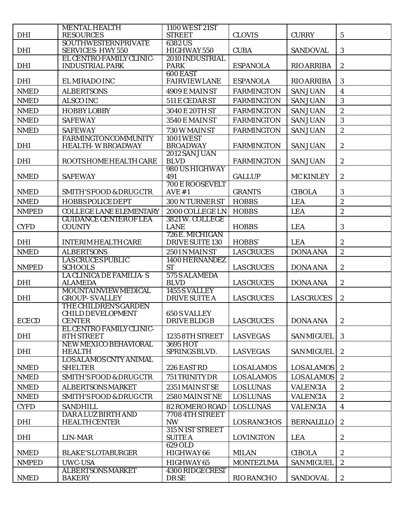|              | <b>MENTAL HEALTH</b>                                               | 1100 WEST 21ST                       |                    |                   |                         |
|--------------|--------------------------------------------------------------------|--------------------------------------|--------------------|-------------------|-------------------------|
| <b>DHI</b>   | <b>RESOURCES</b>                                                   | <b>STREET</b>                        | <b>CLOVIS</b>      | <b>CURRY</b>      | $\bf 5$                 |
| <b>DHI</b>   | <b>SOUTHWESTERNPRIVATE</b><br><b>SERVICES-HWY 550</b>              | 6382US<br>HIGHWAY 550                | <b>CUBA</b>        | <b>SANDOVAL</b>   | $\mathbf{3}$            |
| <b>DHI</b>   | <b>EL CENTRO FAMILY CLINIC-</b><br><b>INDUSTRIAL PARK</b>          | 2010 INDUSTRIAL<br><b>PARK</b>       | <b>ESPANOLA</b>    | <b>RIO ARRIBA</b> | $\boldsymbol{2}$        |
| <b>DHI</b>   | EL MIRADO INC                                                      | 600 EAST<br><b>FAIRVIEWLANE</b>      | <b>ESPANOLA</b>    | <b>RIO ARRIBA</b> | $\boldsymbol{3}$        |
| <b>NMED</b>  | <b>ALBERTSONS</b>                                                  | 4909 E MAIN ST                       | <b>FARMINGTON</b>  | <b>SAN JUAN</b>   | $\overline{\mathbf{4}}$ |
| <b>NMED</b>  | <b>ALSCO INC</b>                                                   | 511 E CEDAR ST                       | <b>FARMINGTON</b>  | <b>SAN JUAN</b>   | 3                       |
| <b>NMED</b>  | <b>HOBBYLOBBY</b>                                                  | 3040 E 20TH ST                       | <b>FARMINGTON</b>  | <b>SAN JUAN</b>   | $\boldsymbol{2}$        |
| <b>NMED</b>  | <b>SAFEWAY</b>                                                     | 3540 E MAIN ST                       | <b>FARMINGTON</b>  | <b>SAN JUAN</b>   | 3                       |
| <b>NMED</b>  | <b>SAFEWAY</b>                                                     | 730 W MAIN ST                        | <b>FARMINGTON</b>  | <b>SAN JUAN</b>   | $\overline{2}$          |
|              | <b>FARMINGTONCOMMUNITY</b>                                         | <b>1001 WEST</b>                     |                    |                   |                         |
| <b>DHI</b>   | <b>HEALTH-WBROADWAY</b>                                            | <b>BROADWAY</b>                      | <b>FARMINGTON</b>  | <b>SAN JUAN</b>   | $\sqrt{2}$              |
|              |                                                                    | 2012 SAN JUAN                        |                    |                   |                         |
| <b>DHI</b>   | ROOTS HOME HEALTH CARE                                             | <b>BLVD</b>                          | <b>FARMINGTON</b>  | <b>SAN JUAN</b>   | $\boldsymbol{2}$        |
| <b>NMED</b>  | <b>SAFEWAY</b>                                                     | 980 US HIGHWAY<br>491                | <b>GALLUP</b>      | <b>MC KINLEY</b>  | $\boldsymbol{2}$        |
| <b>NMED</b>  | <b>SMITH'S FOOD &amp; DRUG CTR</b>                                 | <b>700 E ROOSEVELT</b><br>AVE #1     | <b>GRANTS</b>      | <b>CIBOLA</b>     | 3                       |
| <b>NMED</b>  | <b>HOBBS POLICE DEPT</b>                                           | 300 N TURNER ST                      | <b>HOBBS</b>       | <b>LEA</b>        | $\overline{c}$          |
| <b>NMPED</b> | <b>COLLEGE LANE ELEMENTARY</b>                                     | 2000 COLLEGE LN                      | <b>HOBBS</b>       | <b>LEA</b>        | $\boldsymbol{2}$        |
| <b>CYFD</b>  | <b>GUIDANCE CENTEROF LEA</b><br><b>COUNTY</b>                      | 3821 W. COLLEGE<br><b>LANE</b>       | <b>HOBBS</b>       | <b>LEA</b>        | 3                       |
|              |                                                                    | 726 E. MICHIGAN                      |                    |                   |                         |
| <b>DHI</b>   | <b>INTERIM HEALTH CARE</b>                                         | DRIVE SUITE 130                      | HOBBS`             | <b>LEA</b>        | $\boldsymbol{2}$        |
| <b>NMED</b>  | <b>ALBERTSONS</b>                                                  | 2501 N MAIN ST                       | <b>LAS CRUCES</b>  | <b>DONA ANA</b>   | $\boldsymbol{2}$        |
| <b>NMPED</b> | <b>LAS CRUCES PUBLIC</b><br><b>SCHOOLS</b>                         | 1400 HERNANDEZ<br><b>ST</b>          | <b>LAS CRUCES</b>  | <b>DONA ANA</b>   | $\boldsymbol{2}$        |
| <b>DHI</b>   | LA CLINICA DE FAMILIA-S<br><b>ALAMEDA</b>                          | 575 S ALAMEDA<br><b>BLVD</b>         | <b>LAS CRUCES</b>  | <b>DONA ANA</b>   | $\boldsymbol{2}$        |
|              | <b>MOUNTAINVIEW MEDICAL</b>                                        | 1455 S VALLEY                        |                    |                   |                         |
| <b>DHI</b>   | <b>GROUP-SVALLEY</b>                                               | <b>DRIVE SUITE A</b>                 | <b>LAS CRUCES</b>  | <b>LAS CRUCES</b> | $\boldsymbol{2}$        |
| <b>ECECD</b> | THE CHILDREN'S GARDEN<br><b>CHILD DEVELOPMENT</b><br><b>CENTER</b> | <b>650 S VALLEY</b><br>DRIVE BLDG B  | <b>LAS CRUCES</b>  | <b>DONA ANA</b>   | $\mathbf{2}$            |
|              | <b>EL CENTRO FAMILY CLINIC-</b>                                    |                                      |                    | <b>SAN MIGUEL</b> |                         |
| <b>DHI</b>   | <b>8TH STREET</b><br>NEW MEXICO BEHAVIORAL                         | 1235 8TH STREET<br>3695 HOT          | <b>LASVEGAS</b>    |                   | 3                       |
| DHI          | <b>HEALTH</b>                                                      | SPRINGS BLVD.                        | <b>LASVEGAS</b>    | <b>SAN MIGUEL</b> | $\boldsymbol{2}$        |
| <b>NMED</b>  | <b>LOS ALAMOS CNTY ANIMAL</b><br><b>SHELTER</b>                    | 226 EASTRD                           | <b>LOSALAMOS</b>   | <b>LOSALAMOS</b>  | $\boldsymbol{2}$        |
| <b>NMED</b>  | <b>SMITH'S FOOD &amp; DRUG CTR</b>                                 | 751 TRINITY DR                       | <b>LOSALAMOS</b>   | <b>LOSALAMOS</b>  | $\boldsymbol{2}$        |
| <b>NMED</b>  | <b>ALBERTSONS MARKET</b>                                           | 2351 MAIN ST SE                      | <b>LOSLUNAS</b>    | <b>VALENCIA</b>   | $\boldsymbol{2}$        |
| <b>NMED</b>  | <b>SMITH'S FOOD &amp; DRUG CTR</b>                                 | 2580 MAIN ST NE                      | <b>LOSLUNAS</b>    | <b>VALENCIA</b>   | $\sqrt{2}$              |
| <b>CYFD</b>  | <b>SANDHILL</b>                                                    | 82 ROMERO ROAD                       | <b>LOSLUNAS</b>    | <b>VALENCIA</b>   | $\overline{\mathbf{4}}$ |
|              | <b>DARA LUZ BIRTH AND</b>                                          | 7708 4TH STREET                      |                    |                   |                         |
| <b>DHI</b>   | <b>HEALTHCENTER</b>                                                | <b>NW</b>                            | <b>LOS RANCHOS</b> | <b>BERNALILLO</b> | $\boldsymbol{2}$        |
| DHI          | LIN-MAR                                                            | 315 N 1ST STREET<br><b>SUITE A</b>   | <b>LOVINGTON</b>   | <b>LEA</b>        | $\boldsymbol{2}$        |
|              |                                                                    | <b>629 OLD</b>                       |                    |                   |                         |
| <b>NMED</b>  | <b>BLAKE'S LOTABURGER</b>                                          | HIGHWAY 66                           | <b>MILAN</b>       | <b>CIBOLA</b>     | $\boldsymbol{2}$        |
| <b>NMPED</b> | <b>UWC-USA</b><br><b>ALBERTSONS MARKET</b>                         | HIGHWAY 65<br><b>4300 RIDGECREST</b> | <b>MONTEZUMA</b>   | <b>SAN MIGUEL</b> | $\mathbf{2}$            |
| <b>NMED</b>  | <b>BAKERY</b>                                                      | <b>DRSE</b>                          | <b>RIO RANCHO</b>  | <b>SANDOVAL</b>   | $\boldsymbol{2}$        |
|              |                                                                    |                                      |                    |                   |                         |